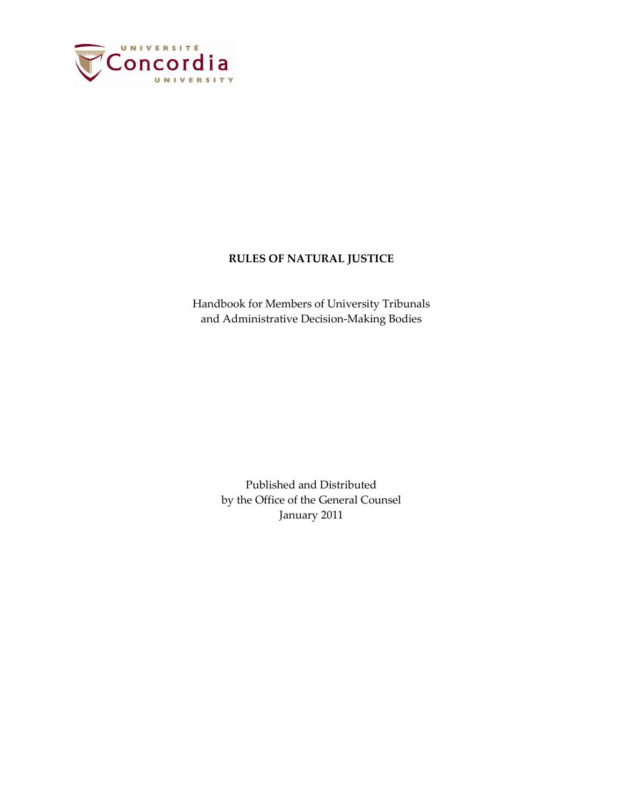

# **RULES OF NATURAL JUSTICE**

Handbook for Members of University Tribunals and Administrative Decision-Making Bodies

> Published and Distributed by the Office of the General Counsel January 2011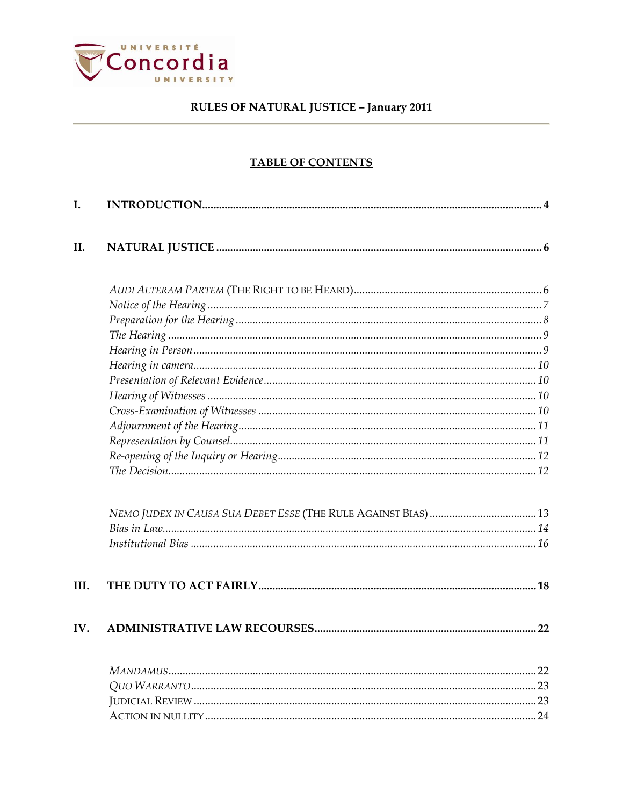

# **TABLE OF CONTENTS**

| I.   |  |
|------|--|
| II.  |  |
|      |  |
|      |  |
|      |  |
|      |  |
|      |  |
|      |  |
|      |  |
|      |  |
|      |  |
|      |  |
|      |  |
|      |  |
|      |  |
|      |  |
|      |  |
|      |  |
| III. |  |
| IV.  |  |
|      |  |
|      |  |
|      |  |
|      |  |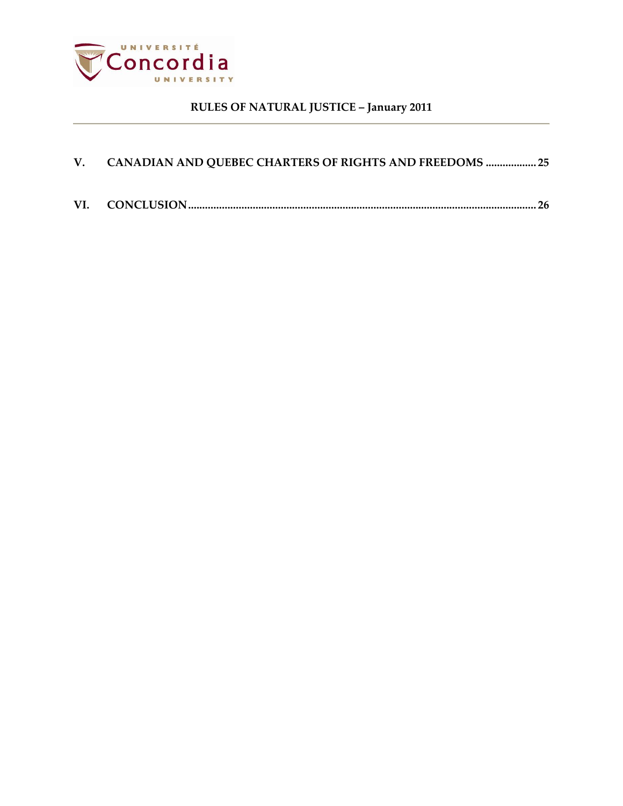

<span id="page-2-0"></span>

| V. CANADIAN AND QUEBEC CHARTERS OF RIGHTS AND FREEDOMS  25 |  |
|------------------------------------------------------------|--|
|                                                            |  |
|                                                            |  |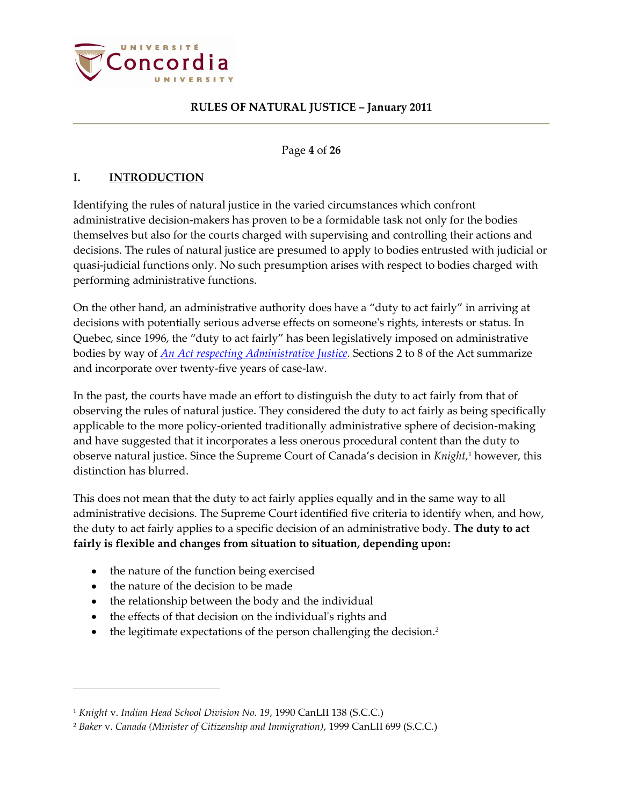

### Page **4** of **26**

# **I. INTRODUCTION**

Identifying the rules of natural justice in the varied circumstances which confront administrative decision-makers has proven to be a formidable task not only for the bodies themselves but also for the courts charged with supervising and controlling their actions and decisions. The rules of natural justice are presumed to apply to bodies entrusted with judicial or quasi-judicial functions only. No such presumption arises with respect to bodies charged with performing administrative functions.

On the other hand, an administrative authority does have a "duty to act fairly" in arriving at decisions with potentially serious adverse effects on someone's rights, interests or status. In Quebec, since 1996, the "duty to act fairly" has been legislatively imposed on administrative bodies by way of *[An Act respecting Administrative Justice.](http://www2.publicationsduquebec.gouv.qc.ca/dynamicSearch/telecharge.php?type=2&file=/J_3/J3_A.html)* Sections 2 to 8 of the Act summarize and incorporate over twenty-five years of case-law.

In the past, the courts have made an effort to distinguish the duty to act fairly from that of observing the rules of natural justice. They considered the duty to act fairly as being specifically applicable to the more policy-oriented traditionally administrative sphere of decision-making and have suggested that it incorporates a less onerous procedural content than the duty to observe natural justice. Since the Supreme Court of Canada's decision in *Knight,* <sup>1</sup> however, this distinction has blurred.

This does not mean that the duty to act fairly applies equally and in the same way to all administrative decisions. The Supreme Court identified five criteria to identify when, and how, the duty to act fairly applies to a specific decision of an administrative body. **The duty to act fairly is flexible and changes from situation to situation, depending upon:**

- the nature of the function being exercised
- the nature of the decision to be made

- the relationship between the body and the individual
- the effects of that decision on the individual's rights and
- the legitimate expectations of the person challenging the decision.*<sup>2</sup>*

<sup>1</sup> *Knight* v. *Indian Head School Division No. 19*, 1990 CanLII 138 (S.C.C.)

<sup>2</sup> *Baker* v. *Canada (Minister of Citizenship and Immigration)*, 1999 CanLII 699 (S.C.C.)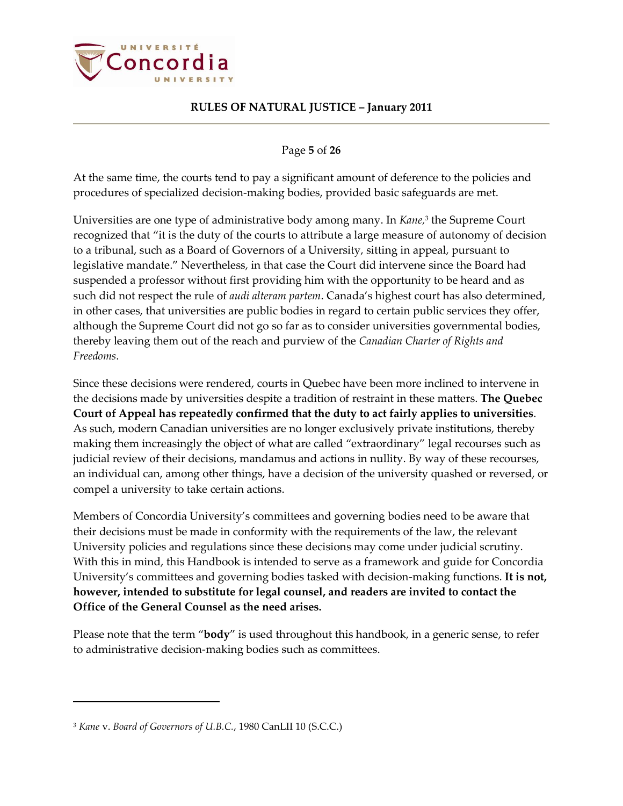

Page **5** of **26**

At the same time, the courts tend to pay a significant amount of deference to the policies and procedures of specialized decision-making bodies, provided basic safeguards are met.

Universities are one type of administrative body among many. In *Kane,* 3 the Supreme Court recognized that "it is the duty of the courts to attribute a large measure of autonomy of decision to a tribunal, such as a Board of Governors of a University, sitting in appeal, pursuant to legislative mandate." Nevertheless, in that case the Court did intervene since the Board had suspended a professor without first providing him with the opportunity to be heard and as such did not respect the rule of *audi alteram partem*. Canada's highest court has also determined, in other cases, that universities are public bodies in regard to certain public services they offer, although the Supreme Court did not go so far as to consider universities governmental bodies, thereby leaving them out of the reach and purview of the *Canadian Charter of Rights and Freedoms*.

Since these decisions were rendered, courts in Quebec have been more inclined to intervene in the decisions made by universities despite a tradition of restraint in these matters. **The Quebec Court of Appeal has repeatedly confirmed that the duty to act fairly applies to universities**. As such, modern Canadian universities are no longer exclusively private institutions, thereby making them increasingly the object of what are called "extraordinary" legal recourses such as judicial review of their decisions, mandamus and actions in nullity. By way of these recourses, an individual can, among other things, have a decision of the university quashed or reversed, or compel a university to take certain actions.

Members of Concordia University's committees and governing bodies need to be aware that their decisions must be made in conformity with the requirements of the law, the relevant University policies and regulations since these decisions may come under judicial scrutiny. With this in mind, this Handbook is intended to serve as a framework and guide for Concordia University's committees and governing bodies tasked with decision-making functions. **It is not, however, intended to substitute for legal counsel, and readers are invited to contact the Office of the General Counsel as the need arises.**

Please note that the term "**body**" is used throughout this handbook, in a generic sense, to refer to administrative decision-making bodies such as committees.

<sup>3</sup> *Kane* v. *Board of Governors of U.B.C.*, 1980 CanLII 10 (S.C.C.)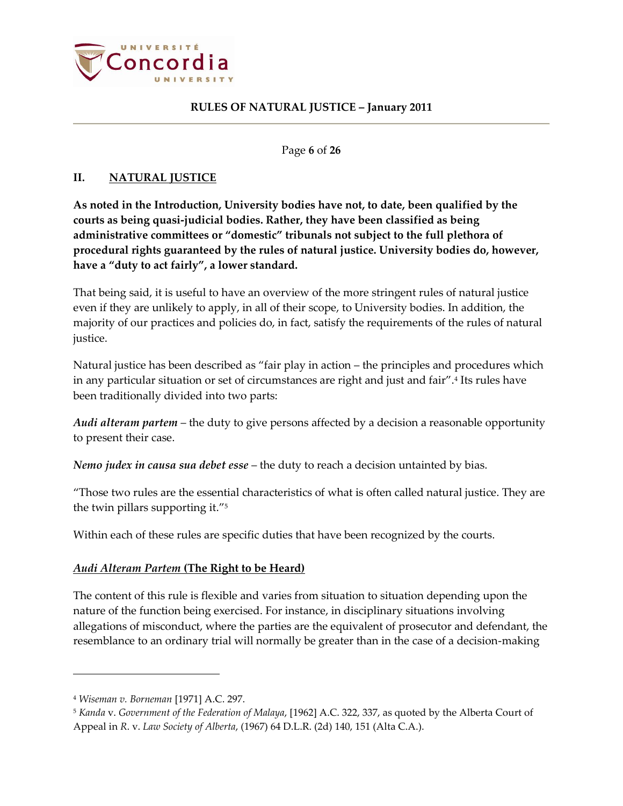

Page **6** of **26**

# <span id="page-5-0"></span>**II. NATURAL JUSTICE**

**As noted in the Introduction, University bodies have not, to date, been qualified by the courts as being quasi-judicial bodies. Rather, they have been classified as being administrative committees or "domestic" tribunals not subject to the full plethora of procedural rights guaranteed by the rules of natural justice. University bodies do, however, have a "duty to act fairly", a lower standard.**

That being said, it is useful to have an overview of the more stringent rules of natural justice even if they are unlikely to apply, in all of their scope, to University bodies. In addition, the majority of our practices and policies do, in fact, satisfy the requirements of the rules of natural justice.

Natural justice has been described as "fair play in action – the principles and procedures which in any particular situation or set of circumstances are right and just and fair".<sup>4</sup> Its rules have been traditionally divided into two parts:

*Audi alteram partem* – the duty to give persons affected by a decision a reasonable opportunity to present their case.

*Nemo judex in causa sua debet esse* – the duty to reach a decision untainted by bias.

"Those two rules are the essential characteristics of what is often called natural justice. They are the twin pillars supporting it."<sup>5</sup>

Within each of these rules are specific duties that have been recognized by the courts.

# <span id="page-5-1"></span>*Audi Alteram Partem* **(The Right to be Heard)**

The content of this rule is flexible and varies from situation to situation depending upon the nature of the function being exercised. For instance, in disciplinary situations involving allegations of misconduct, where the parties are the equivalent of prosecutor and defendant, the resemblance to an ordinary trial will normally be greater than in the case of a decision-making

<sup>4</sup> *Wiseman v. Borneman* [1971] A.C. 297.

<sup>5</sup> *Kanda* v. *Government of the Federation of Malaya*, [1962] A.C. 322, 337, as quoted by the Alberta Court of Appeal in *R*. v. *Law Society of Alberta*, (1967) 64 D.L.R. (2d) 140, 151 (Alta C.A.).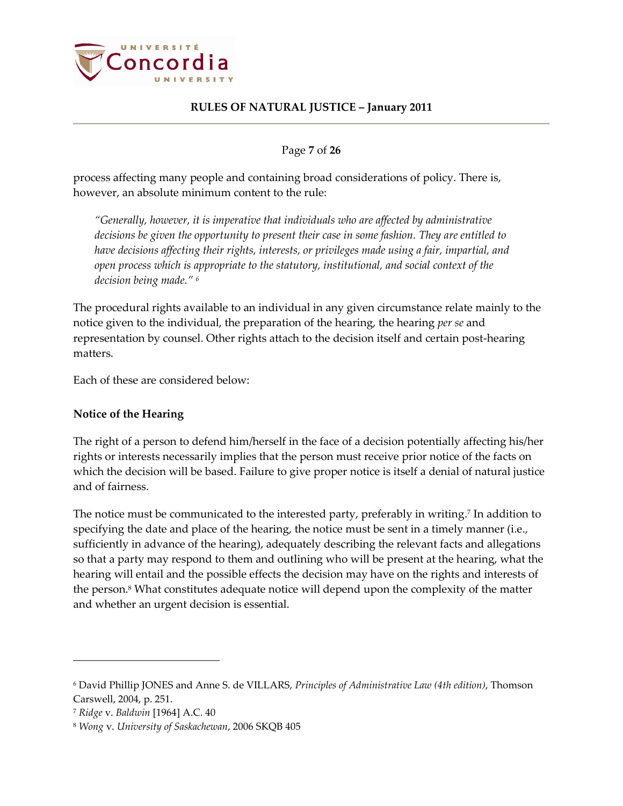

Page **7** of **26**

process affecting many people and containing broad considerations of policy. There is, however, an absolute minimum content to the rule:

*"Generally, however, it is imperative that individuals who are affected by administrative decisions be given the opportunity to present their case in some fashion. They are entitled to have decisions affecting their rights, interests, or privileges made using a fair, impartial, and open process which is appropriate to the statutory, institutional, and social context of the decision being made." <sup>6</sup>*

The procedural rights available to an individual in any given circumstance relate mainly to the notice given to the individual, the preparation of the hearing, the hearing *per se* and representation by counsel. Other rights attach to the decision itself and certain post-hearing matters.

Each of these are considered below:

# <span id="page-6-0"></span>**Notice of the Hearing**

The right of a person to defend him/herself in the face of a decision potentially affecting his/her rights or interests necessarily implies that the person must receive prior notice of the facts on which the decision will be based. Failure to give proper notice is itself a denial of natural justice and of fairness.

The notice must be communicated to the interested party, preferably in writing. 7 In addition to specifying the date and place of the hearing, the notice must be sent in a timely manner (i.e., sufficiently in advance of the hearing), adequately describing the relevant facts and allegations so that a party may respond to them and outlining who will be present at the hearing, what the hearing will entail and the possible effects the decision may have on the rights and interests of the person.<sup>8</sup> What constitutes adequate notice will depend upon the complexity of the matter and whether an urgent decision is essential.

<sup>6</sup> David Phillip JONES and Anne S. de VILLARS, *Principles of Administrative Law (4th edition)*, Thomson Carswell, 2004, p. 251.

<sup>7</sup> *Ridge* v. *Baldwin* [1964] A.C. 40

<sup>8</sup> *Wong* v. *University of Saskachewan*, 2006 SKQB 405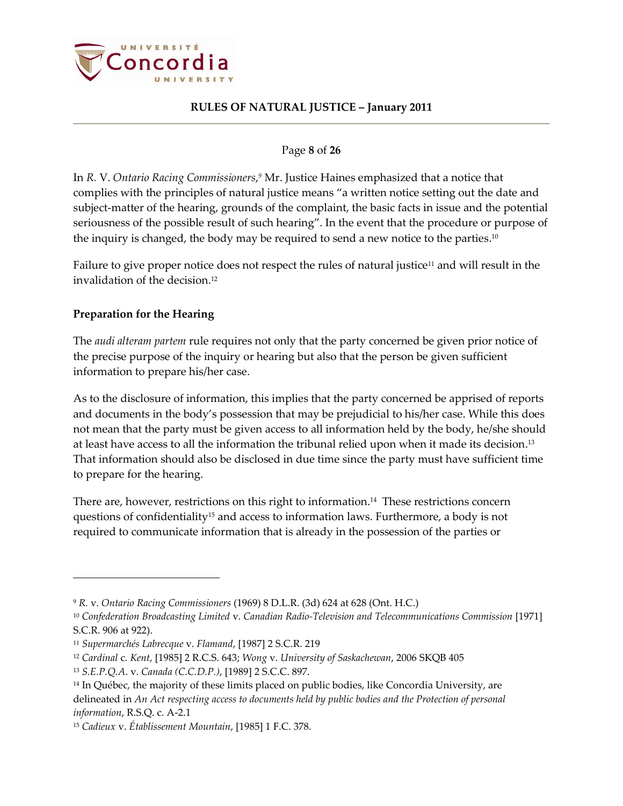

### Page **8** of **26**

In *R.* V. *Ontario Racing Commissioners*, *<sup>9</sup>* Mr. Justice Haines emphasized that a notice that complies with the principles of natural justice means "a written notice setting out the date and subject-matter of the hearing, grounds of the complaint, the basic facts in issue and the potential seriousness of the possible result of such hearing". In the event that the procedure or purpose of the inquiry is changed, the body may be required to send a new notice to the parties. $^{10}$ 

Failure to give proper notice does not respect the rules of natural justice<sup>11</sup> and will result in the invalidation of the decision. 12

# <span id="page-7-0"></span>**Preparation for the Hearing**

 $\overline{a}$ 

The *audi alteram partem* rule requires not only that the party concerned be given prior notice of the precise purpose of the inquiry or hearing but also that the person be given sufficient information to prepare his/her case.

As to the disclosure of information, this implies that the party concerned be apprised of reports and documents in the body's possession that may be prejudicial to his/her case. While this does not mean that the party must be given access to all information held by the body, he/she should at least have access to all the information the tribunal relied upon when it made its decision. 13 That information should also be disclosed in due time since the party must have sufficient time to prepare for the hearing.

There are, however, restrictions on this right to information. <sup>14</sup> These restrictions concern questions of confidentiality<sup>15</sup> and access to information laws. Furthermore, a body is not required to communicate information that is already in the possession of the parties or

<sup>9</sup> *R.* v. *Ontario Racing Commissioners* (1969) 8 D.L.R. (3d) 624 at 628 (Ont. H.C.)

<sup>10</sup> *Confederation Broadcasting Limited* v. *Canadian Radio-Television and Telecommunications Commission* [1971] S.C.R. 906 at 922).

<sup>11</sup> *Supermarchés Labrecque* v. *Flamand*, [1987] 2 S.C.R. 219

<sup>12</sup> *Cardinal* c. *Kent*, [1985] 2 R.C.S. 643; *Wong* v. *University of Saskachewan*, 2006 SKQB 405

<sup>13</sup> *S.E.P.Q.A*. v. *Canada (C.C.D.P.)*, [1989] 2 S.C.C. 897.

<sup>&</sup>lt;sup>14</sup> In Québec, the majority of these limits placed on public bodies, like Concordia University, are delineated in *An Act respecting access to documents held by public bodies and the Protection of personal information*, R.S.Q. c. A-2.1

<sup>15</sup> *Cadieux* v. *Établissement Mountain*, [1985] 1 F.C. 378.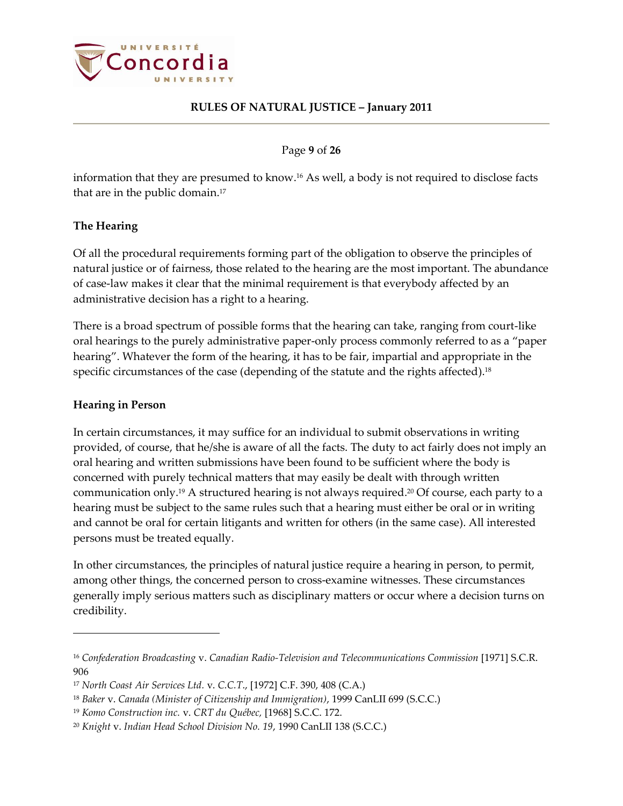

Page **9** of **26**

information that they are presumed to know. <sup>16</sup> As well, a body is not required to disclose facts that are in the public domain. 17

# <span id="page-8-0"></span>**The Hearing**

Of all the procedural requirements forming part of the obligation to observe the principles of natural justice or of fairness, those related to the hearing are the most important. The abundance of case-law makes it clear that the minimal requirement is that everybody affected by an administrative decision has a right to a hearing.

There is a broad spectrum of possible forms that the hearing can take, ranging from court-like oral hearings to the purely administrative paper-only process commonly referred to as a "paper hearing". Whatever the form of the hearing, it has to be fair, impartial and appropriate in the specific circumstances of the case (depending of the statute and the rights affected).<sup>18</sup>

### <span id="page-8-1"></span>**Hearing in Person**

 $\overline{a}$ 

In certain circumstances, it may suffice for an individual to submit observations in writing provided, of course, that he/she is aware of all the facts. The duty to act fairly does not imply an oral hearing and written submissions have been found to be sufficient where the body is concerned with purely technical matters that may easily be dealt with through written communication only. <sup>19</sup> A structured hearing is not always required. <sup>20</sup> Of course, each party to a hearing must be subject to the same rules such that a hearing must either be oral or in writing and cannot be oral for certain litigants and written for others (in the same case). All interested persons must be treated equally.

In other circumstances, the principles of natural justice require a hearing in person, to permit, among other things, the concerned person to cross-examine witnesses. These circumstances generally imply serious matters such as disciplinary matters or occur where a decision turns on credibility.

<sup>16</sup> *Confederation Broadcasting* v. *Canadian Radio-Television and Telecommunications Commission* [1971] S.C.R. 906

<sup>17</sup> *North Coast Air Services Ltd.* v. *C.C.T*., [1972] C.F. 390, 408 (C.A.)

<sup>18</sup> *Baker* v. *Canada (Minister of Citizenship and Immigration)*, 1999 CanLII 699 (S.C.C.)

<sup>19</sup> *Komo Construction inc.* v. *CRT du Québec,* [1968] S.C.C. 172.

<sup>20</sup> *Knight* v. *Indian Head School Division No. 19*, 1990 CanLII 138 (S.C.C.)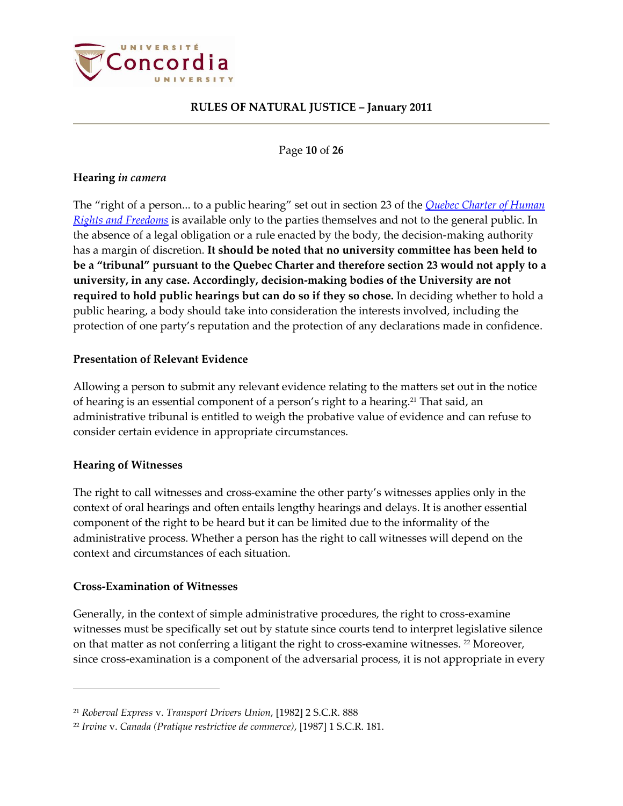

Page **10** of **26**

### <span id="page-9-0"></span>**Hearing** *in camera*

The "right of a person... to a public hearing" set out in section 23 of the *[Quebec Charter of Human](http://www2.publicationsduquebec.gouv.qc.ca/dynamicSearch/telecharge.php?type=2&file=/C_12/C12_A.html)  [Rights and Freedoms](http://www2.publicationsduquebec.gouv.qc.ca/dynamicSearch/telecharge.php?type=2&file=/C_12/C12_A.html)* is available only to the parties themselves and not to the general public. In the absence of a legal obligation or a rule enacted by the body, the decision-making authority has a margin of discretion. **It should be noted that no university committee has been held to be a "tribunal" pursuant to the Quebec Charter and therefore section 23 would not apply to a university, in any case. Accordingly, decision-making bodies of the University are not required to hold public hearings but can do so if they so chose.** In deciding whether to hold a public hearing, a body should take into consideration the interests involved, including the protection of one party's reputation and the protection of any declarations made in confidence.

### <span id="page-9-1"></span>**Presentation of Relevant Evidence**

Allowing a person to submit any relevant evidence relating to the matters set out in the notice of hearing is an essential component of a person's right to a hearing.<sup>21</sup> That said, an administrative tribunal is entitled to weigh the probative value of evidence and can refuse to consider certain evidence in appropriate circumstances.

### <span id="page-9-2"></span>**Hearing of Witnesses**

 $\overline{a}$ 

The right to call witnesses and cross-examine the other party's witnesses applies only in the context of oral hearings and often entails lengthy hearings and delays. It is another essential component of the right to be heard but it can be limited due to the informality of the administrative process. Whether a person has the right to call witnesses will depend on the context and circumstances of each situation.

### <span id="page-9-3"></span>**Cross-Examination of Witnesses**

Generally, in the context of simple administrative procedures, the right to cross-examine witnesses must be specifically set out by statute since courts tend to interpret legislative silence on that matter as not conferring a litigant the right to cross-examine witnesses. <sup>22</sup> Moreover, since cross-examination is a component of the adversarial process, it is not appropriate in every

<sup>21</sup> *Roberval Express* v. *Transport Drivers Union*, [1982] 2 S.C.R. 888

<sup>22</sup> *Irvine* v. *Canada (Pratique restrictive de commerce)*, [1987] 1 S.C.R. 181.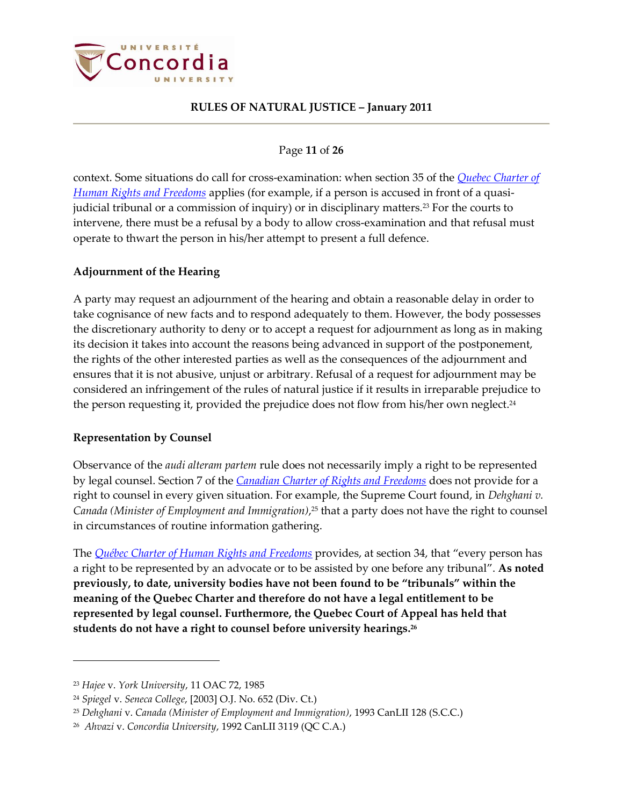

### Page **11** of **26**

context. Some situations do call for cross-examination: when section 35 of the *[Quebec Charter of](http://www2.publicationsduquebec.gouv.qc.ca/dynamicSearch/telecharge.php?type=2&file=/C_12/C12_A.html)  [Human Rights and Freedoms](http://www2.publicationsduquebec.gouv.qc.ca/dynamicSearch/telecharge.php?type=2&file=/C_12/C12_A.html)* applies (for example, if a person is accused in front of a quasijudicial tribunal or a commission of inquiry) or in disciplinary matters.<sup>23</sup> For the courts to intervene, there must be a refusal by a body to allow cross-examination and that refusal must operate to thwart the person in his/her attempt to present a full defence.

### <span id="page-10-0"></span>**Adjournment of the Hearing**

A party may request an adjournment of the hearing and obtain a reasonable delay in order to take cognisance of new facts and to respond adequately to them. However, the body possesses the discretionary authority to deny or to accept a request for adjournment as long as in making its decision it takes into account the reasons being advanced in support of the postponement, the rights of the other interested parties as well as the consequences of the adjournment and ensures that it is not abusive, unjust or arbitrary. Refusal of a request for adjournment may be considered an infringement of the rules of natural justice if it results in irreparable prejudice to the person requesting it, provided the prejudice does not flow from his/her own neglect. 24

# <span id="page-10-1"></span>**Representation by Counsel**

Observance of the *audi alteram partem* rule does not necessarily imply a right to be represented by legal counsel. Section 7 of the *[Canadian Charter of Rights](http://laws.justice.gc.ca/en/charter/1.html) and Freedoms* does not provide for a right to counsel in every given situation. For example, the Supreme Court found, in *Dehghani v. Canada (Minister of Employment and Immigration)*, <sup>25</sup> that a party does not have the right to counsel in circumstances of routine information gathering.

The *[Québec Charter of Human Rights and Freedoms](http://www2.publicationsduquebec.gouv.qc.ca/dynamicSearch/telecharge.php?type=2&file=/C_12/C12_A.html)* provides, at section 34, that "every person has a right to be represented by an advocate or to be assisted by one before any tribunal". **As noted previously, to date, university bodies have not been found to be "tribunals" within the meaning of the Quebec Charter and therefore do not have a legal entitlement to be represented by legal counsel. Furthermore, the Quebec Court of Appeal has held that students do not have a right to counsel before university hearings. 26**

<sup>23</sup> *Hajee* v. *York University*, 11 OAC 72, 1985

<sup>24</sup> *Spiegel* v. *Seneca College*, [2003] O.J. No. 652 (Div. Ct.)

<sup>25</sup> *Dehghani* v. *Canada (Minister of Employment and Immigration)*, 1993 CanLII 128 (S.C.C.)

<sup>26</sup> *Ahvazi* v. *Concordia University*, 1992 CanLII 3119 (QC C.A.)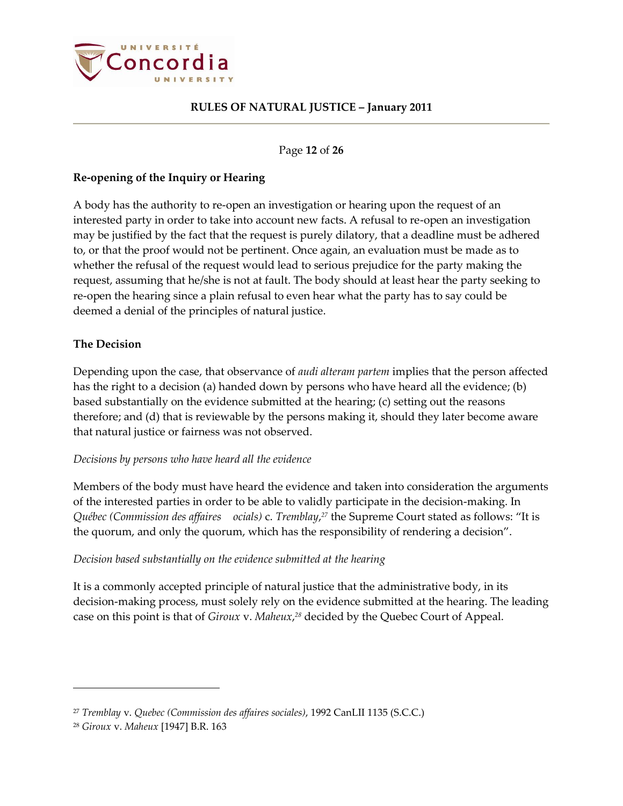

#### Page **12** of **26**

### <span id="page-11-0"></span>**Re-opening of the Inquiry or Hearing**

A body has the authority to re-open an investigation or hearing upon the request of an interested party in order to take into account new facts. A refusal to re-open an investigation may be justified by the fact that the request is purely dilatory, that a deadline must be adhered to, or that the proof would not be pertinent. Once again, an evaluation must be made as to whether the refusal of the request would lead to serious prejudice for the party making the request, assuming that he/she is not at fault. The body should at least hear the party seeking to re-open the hearing since a plain refusal to even hear what the party has to say could be deemed a denial of the principles of natural justice.

### <span id="page-11-1"></span>**The Decision**

Depending upon the case, that observance of *audi alteram partem* implies that the person affected has the right to a decision (a) handed down by persons who have heard all the evidence; (b) based substantially on the evidence submitted at the hearing; (c) setting out the reasons therefore; and (d) that is reviewable by the persons making it, should they later become aware that natural justice or fairness was not observed.

### *Decisions by persons who have heard all the evidence*

Members of the body must have heard the evidence and taken into consideration the arguments of the interested parties in order to be able to validly participate in the decision-making. In *Québec (Commission des affaires ocials)* c. *Tremblay*, *<sup>27</sup>* the Supreme Court stated as follows: "It is the quorum, and only the quorum, which has the responsibility of rendering a decision".

### *Decision based substantially on the evidence submitted at the hearing*

It is a commonly accepted principle of natural justice that the administrative body, in its decision-making process, must solely rely on the evidence submitted at the hearing. The leading case on this point is that of *Giroux* v. *Maheux*, *<sup>28</sup>* decided by the Quebec Court of Appeal.

<sup>27</sup> *Tremblay* v. *Quebec (Commission des affaires sociales)*, 1992 CanLII 1135 (S.C.C.)

<sup>28</sup> *Giroux* v. *Maheux* [1947] B.R. 163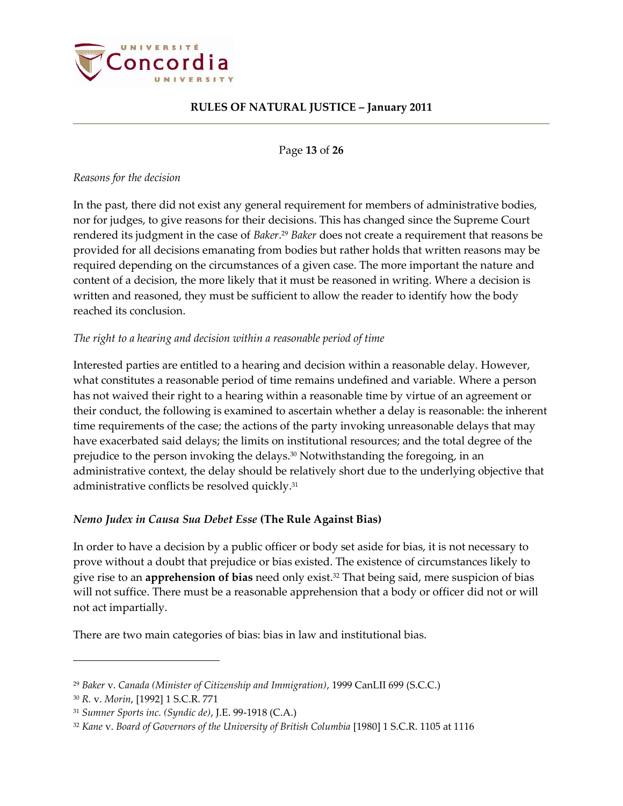

Page **13** of **26**

### *Reasons for the decision*

In the past, there did not exist any general requirement for members of administrative bodies, nor for judges, to give reasons for their decisions. This has changed since the Supreme Court rendered its judgment in the case of *Baker*. <sup>29</sup> *Baker* does not create a requirement that reasons be provided for all decisions emanating from bodies but rather holds that written reasons may be required depending on the circumstances of a given case. The more important the nature and content of a decision, the more likely that it must be reasoned in writing. Where a decision is written and reasoned, they must be sufficient to allow the reader to identify how the body reached its conclusion.

### *The right to a hearing and decision within a reasonable period of time*

Interested parties are entitled to a hearing and decision within a reasonable delay. However, what constitutes a reasonable period of time remains undefined and variable. Where a person has not waived their right to a hearing within a reasonable time by virtue of an agreement or their conduct, the following is examined to ascertain whether a delay is reasonable: the inherent time requirements of the case; the actions of the party invoking unreasonable delays that may have exacerbated said delays; the limits on institutional resources; and the total degree of the prejudice to the person invoking the delays. <sup>30</sup> Notwithstanding the foregoing, in an administrative context, the delay should be relatively short due to the underlying objective that administrative conflicts be resolved quickly. 31

### <span id="page-12-0"></span>*Nemo Judex in Causa Sua Debet Esse* **(The Rule Against Bias)**

In order to have a decision by a public officer or body set aside for bias, it is not necessary to prove without a doubt that prejudice or bias existed. The existence of circumstances likely to give rise to an **apprehension of bias** need only exist. <sup>32</sup> That being said, mere suspicion of bias will not suffice. There must be a reasonable apprehension that a body or officer did not or will not act impartially.

There are two main categories of bias: bias in law and institutional bias.

<sup>29</sup> *Baker* v. *Canada (Minister of Citizenship and Immigration)*, 1999 CanLII 699 (S.C.C.)

<sup>30</sup> *R.* v. *Morin*, [1992] 1 S.C.R. 771

<sup>31</sup> *Sumner Sports inc. (Syndic de)*, J.E. 99-1918 (C.A.)

<sup>32</sup> *Kane* v. *Board of Governors of the University of British Columbia* [1980] 1 S.C.R. 1105 at 1116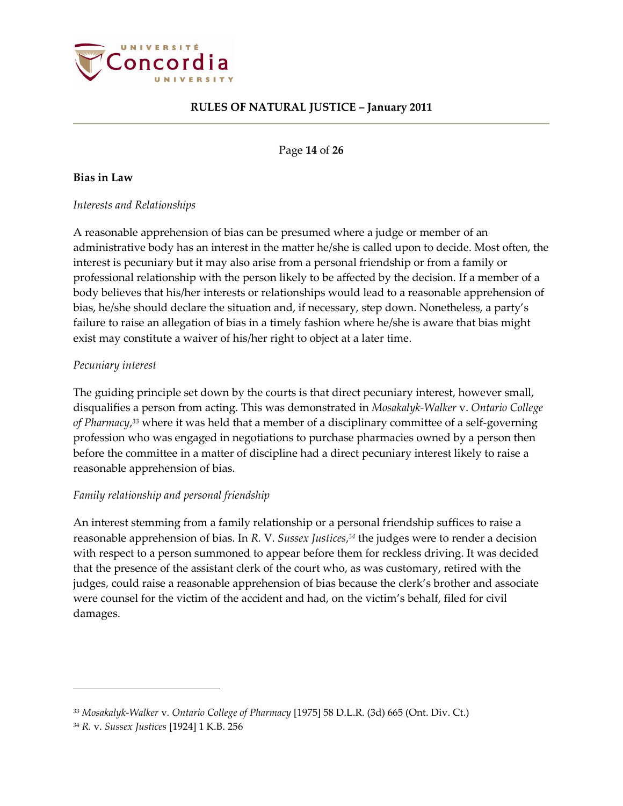

Page **14** of **26**

### <span id="page-13-0"></span>**Bias in Law**

#### *Interests and Relationships*

A reasonable apprehension of bias can be presumed where a judge or member of an administrative body has an interest in the matter he/she is called upon to decide. Most often, the interest is pecuniary but it may also arise from a personal friendship or from a family or professional relationship with the person likely to be affected by the decision. If a member of a body believes that his/her interests or relationships would lead to a reasonable apprehension of bias, he/she should declare the situation and, if necessary, step down. Nonetheless, a party's failure to raise an allegation of bias in a timely fashion where he/she is aware that bias might exist may constitute a waiver of his/her right to object at a later time.

### *Pecuniary interest*

The guiding principle set down by the courts is that direct pecuniary interest, however small, disqualifies a person from acting. This was demonstrated in *Mosakalyk-Walker* v. *Ontario College of Pharmacy*, *<sup>33</sup>* where it was held that a member of a disciplinary committee of a self-governing profession who was engaged in negotiations to purchase pharmacies owned by a person then before the committee in a matter of discipline had a direct pecuniary interest likely to raise a reasonable apprehension of bias.

### *Family relationship and personal friendship*

An interest stemming from a family relationship or a personal friendship suffices to raise a reasonable apprehension of bias. In *R.* V. *Sussex Justices*, *<sup>34</sup>* the judges were to render a decision with respect to a person summoned to appear before them for reckless driving. It was decided that the presence of the assistant clerk of the court who, as was customary, retired with the judges, could raise a reasonable apprehension of bias because the clerk's brother and associate were counsel for the victim of the accident and had, on the victim's behalf, filed for civil damages.

<sup>33</sup> *Mosakalyk-Walker* v. *Ontario College of Pharmacy* [1975] 58 D.L.R. (3d) 665 (Ont. Div. Ct.)

<sup>34</sup> *R.* v. *Sussex Justices* [1924] 1 K.B. 256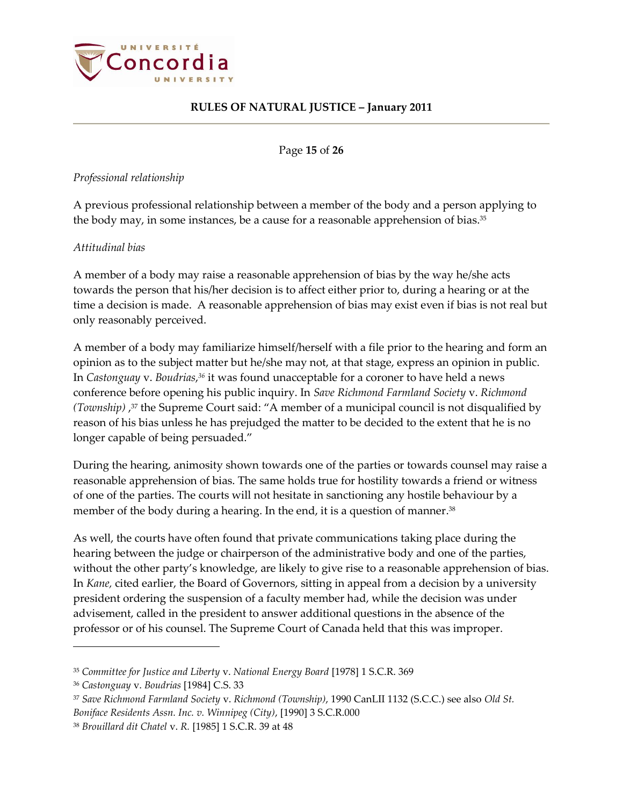

Page **15** of **26**

### *Professional relationship*

A previous professional relationship between a member of the body and a person applying to the body may, in some instances, be a cause for a reasonable apprehension of bias. 35

### *Attitudinal bias*

A member of a body may raise a reasonable apprehension of bias by the way he/she acts towards the person that his/her decision is to affect either prior to, during a hearing or at the time a decision is made. A reasonable apprehension of bias may exist even if bias is not real but only reasonably perceived.

A member of a body may familiarize himself/herself with a file prior to the hearing and form an opinion as to the subject matter but he/she may not, at that stage, express an opinion in public. In *Castonguay* v. *Boudrias*, *<sup>36</sup>* it was found unacceptable for a coroner to have held a news conference before opening his public inquiry. In *Save Richmond Farmland Society* v. *Richmond (Township)* , <sup>37</sup> the Supreme Court said: "A member of a municipal council is not disqualified by reason of his bias unless he has prejudged the matter to be decided to the extent that he is no longer capable of being persuaded."

During the hearing, animosity shown towards one of the parties or towards counsel may raise a reasonable apprehension of bias. The same holds true for hostility towards a friend or witness of one of the parties. The courts will not hesitate in sanctioning any hostile behaviour by a member of the body during a hearing. In the end, it is a question of manner. 38

As well, the courts have often found that private communications taking place during the hearing between the judge or chairperson of the administrative body and one of the parties, without the other party's knowledge, are likely to give rise to a reasonable apprehension of bias. In *Kane,* cited earlier, the Board of Governors, sitting in appeal from a decision by a university president ordering the suspension of a faculty member had, while the decision was under advisement, called in the president to answer additional questions in the absence of the professor or of his counsel. The Supreme Court of Canada held that this was improper.

<sup>35</sup> *Committee for Justice and Liberty* v. *National Energy Board* [1978] 1 S.C.R. 369

<sup>36</sup> *Castonguay* v. *Boudrias* [1984] C.S. 33

<sup>37</sup> *Save Richmond Farmland Society* v. *Richmond (Township)*, 1990 CanLII 1132 (S.C.C.) see also *Old St.* 

*Boniface Residents Assn. Inc. v. Winnipeg (City)*, [1990] 3 S.C.R.000

<sup>38</sup> *Brouillard dit Chatel* v. *R.* [1985] 1 S.C.R. 39 at 48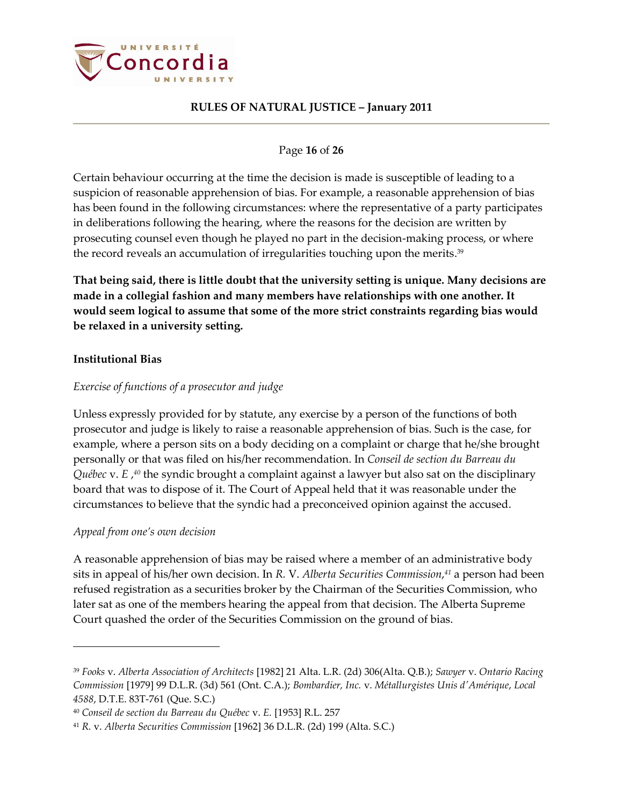

### Page **16** of **26**

Certain behaviour occurring at the time the decision is made is susceptible of leading to a suspicion of reasonable apprehension of bias. For example, a reasonable apprehension of bias has been found in the following circumstances: where the representative of a party participates in deliberations following the hearing, where the reasons for the decision are written by prosecuting counsel even though he played no part in the decision-making process, or where the record reveals an accumulation of irregularities touching upon the merits. 39

**That being said, there is little doubt that the university setting is unique. Many decisions are made in a collegial fashion and many members have relationships with one another. It would seem logical to assume that some of the more strict constraints regarding bias would be relaxed in a university setting.** 

### <span id="page-15-0"></span>**Institutional Bias**

### *Exercise of functions of a prosecutor and judge*

Unless expressly provided for by statute, any exercise by a person of the functions of both prosecutor and judge is likely to raise a reasonable apprehension of bias. Such is the case, for example, where a person sits on a body deciding on a complaint or charge that he/she brought personally or that was filed on his/her recommendation. In *Conseil de section du Barreau du Québec* v. *E* , *<sup>40</sup>* the syndic brought a complaint against a lawyer but also sat on the disciplinary board that was to dispose of it. The Court of Appeal held that it was reasonable under the circumstances to believe that the syndic had a preconceived opinion against the accused.

### *Appeal from one's own decision*

 $\overline{a}$ 

A reasonable apprehension of bias may be raised where a member of an administrative body sits in appeal of his/her own decision. In *R.* V. *Alberta Securities Commission*, *<sup>41</sup>* a person had been refused registration as a securities broker by the Chairman of the Securities Commission, who later sat as one of the members hearing the appeal from that decision. The Alberta Supreme Court quashed the order of the Securities Commission on the ground of bias.

<sup>39</sup> *Fooks* v. *Alberta Association of Architects* [1982] 21 Alta. L.R. (2d) 306(Alta. Q.B.); *Sawyer* v. *Ontario Racing Commission* [1979] 99 D.L.R. (3d) 561 (Ont. C.A.); *Bombardier, Inc.* v. *Métallurgistes Unis d'Amérique*, *Local 4588*, D.T.E. 83T-761 (Que. S.C.)

<sup>40</sup> *Conseil de section du Barreau du Québec* v. *E.* [1953] R.L. 257

<sup>41</sup> *R.* v. *Alberta Securities Commission* [1962] 36 D.L.R. (2d) 199 (Alta. S.C.)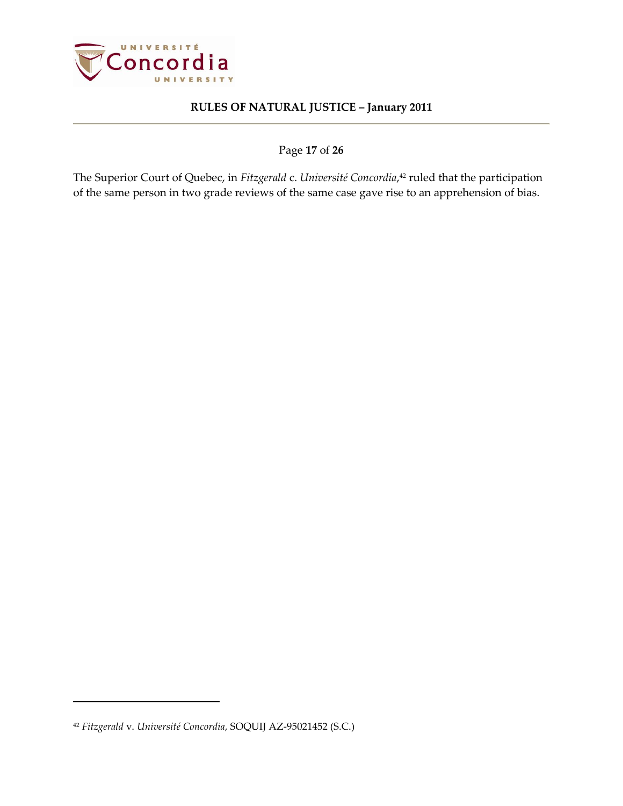

Page **17** of **26**

The Superior Court of Quebec, in *Fitzgerald* c. *Université Concordia*, <sup>42</sup> ruled that the participation of the same person in two grade reviews of the same case gave rise to an apprehension of bias.

<sup>42</sup> *Fitzgerald* v. *Université Concordia*, SOQUIJ AZ-95021452 (S.C.)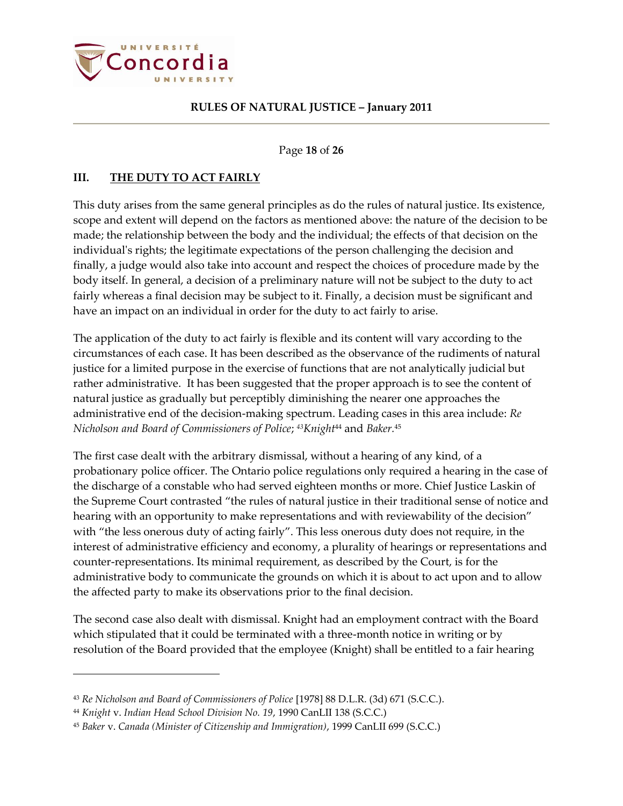

Page **18** of **26**

### <span id="page-17-0"></span>**III. THE DUTY TO ACT FAIRLY**

This duty arises from the same general principles as do the rules of natural justice. Its existence, scope and extent will depend on the factors as mentioned above: the nature of the decision to be made; the relationship between the body and the individual; the effects of that decision on the individual's rights; the legitimate expectations of the person challenging the decision and finally, a judge would also take into account and respect the choices of procedure made by the body itself. In general, a decision of a preliminary nature will not be subject to the duty to act fairly whereas a final decision may be subject to it. Finally, a decision must be significant and have an impact on an individual in order for the duty to act fairly to arise.

The application of the duty to act fairly is flexible and its content will vary according to the circumstances of each case. It has been described as the observance of the rudiments of natural justice for a limited purpose in the exercise of functions that are not analytically judicial but rather administrative. It has been suggested that the proper approach is to see the content of natural justice as gradually but perceptibly diminishing the nearer one approaches the administrative end of the decision-making spectrum. Leading cases in this area include: *Re Nicholson and Board of Commissioners of Police*; *43Knight*<sup>44</sup> and *Baker.* 45

The first case dealt with the arbitrary dismissal, without a hearing of any kind, of a probationary police officer. The Ontario police regulations only required a hearing in the case of the discharge of a constable who had served eighteen months or more. Chief Justice Laskin of the Supreme Court contrasted "the rules of natural justice in their traditional sense of notice and hearing with an opportunity to make representations and with reviewability of the decision" with "the less onerous duty of acting fairly". This less onerous duty does not require, in the interest of administrative efficiency and economy, a plurality of hearings or representations and counter-representations. Its minimal requirement, as described by the Court, is for the administrative body to communicate the grounds on which it is about to act upon and to allow the affected party to make its observations prior to the final decision.

The second case also dealt with dismissal. Knight had an employment contract with the Board which stipulated that it could be terminated with a three-month notice in writing or by resolution of the Board provided that the employee (Knight) shall be entitled to a fair hearing

<sup>43</sup> *Re Nicholson and Board of Commissioners of Police* [1978] 88 D.L.R. (3d) 671 (S.C.C.).

<sup>44</sup> *Knight* v. *Indian Head School Division No. 19*, 1990 CanLII 138 (S.C.C.)

<sup>45</sup> *Baker* v. *Canada (Minister of Citizenship and Immigration)*, 1999 CanLII 699 (S.C.C.)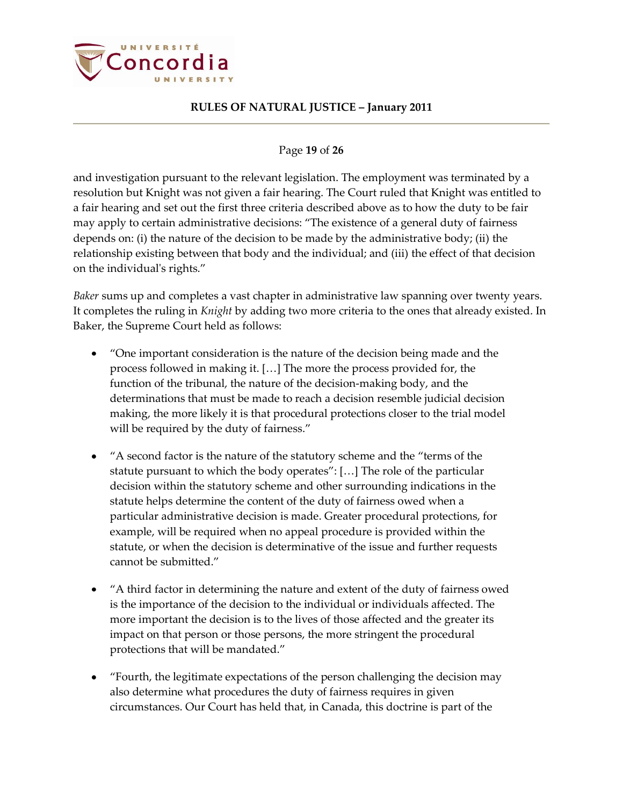

### Page **19** of **26**

and investigation pursuant to the relevant legislation. The employment was terminated by a resolution but Knight was not given a fair hearing. The Court ruled that Knight was entitled to a fair hearing and set out the first three criteria described above as to how the duty to be fair may apply to certain administrative decisions: "The existence of a general duty of fairness depends on: (i) the nature of the decision to be made by the administrative body; (ii) the relationship existing between that body and the individual; and (iii) the effect of that decision on the individual's rights."

*Baker* sums up and completes a vast chapter in administrative law spanning over twenty years. It completes the ruling in *Knight* by adding two more criteria to the ones that already existed. In Baker, the Supreme Court held as follows:

- "One important consideration is the nature of the decision being made and the process followed in making it. […] The more the process provided for, the function of the tribunal, the nature of the decision-making body, and the determinations that must be made to reach a decision resemble judicial decision making, the more likely it is that procedural protections closer to the trial model will be required by the duty of fairness."
- "A second factor is the nature of the statutory scheme and the "terms of the statute pursuant to which the body operates": […] The role of the particular decision within the statutory scheme and other surrounding indications in the statute helps determine the content of the duty of fairness owed when a particular administrative decision is made. Greater procedural protections, for example, will be required when no appeal procedure is provided within the statute, or when the decision is determinative of the issue and further requests cannot be submitted."
- "A third factor in determining the nature and extent of the duty of fairness owed is the importance of the decision to the individual or individuals affected. The more important the decision is to the lives of those affected and the greater its impact on that person or those persons, the more stringent the procedural protections that will be mandated."
- "Fourth, the legitimate expectations of the person challenging the decision may also determine what procedures the duty of fairness requires in given circumstances. Our Court has held that, in Canada, this doctrine is part of the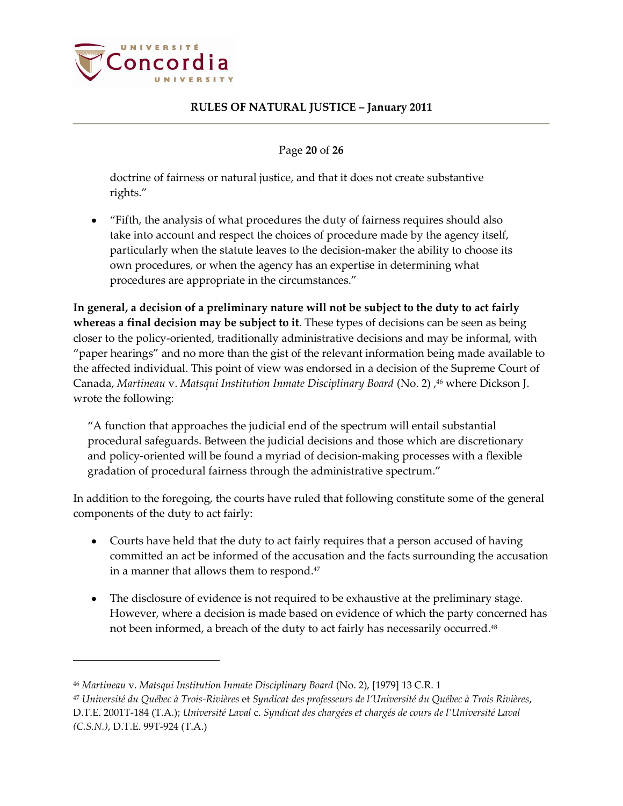

Page **20** of **26**

doctrine of fairness or natural justice, and that it does not create substantive rights."

"Fifth, the analysis of what procedures the duty of fairness requires should also take into account and respect the choices of procedure made by the agency itself, particularly when the statute leaves to the decision-maker the ability to choose its own procedures, or when the agency has an expertise in determining what procedures are appropriate in the circumstances."

**In general, a decision of a preliminary nature will not be subject to the duty to act fairly whereas a final decision may be subject to it**. These types of decisions can be seen as being closer to the policy-oriented, traditionally administrative decisions and may be informal, with "paper hearings" and no more than the gist of the relevant information being made available to the affected individual. This point of view was endorsed in a decision of the Supreme Court of Canada, *Martineau* v. *Matsqui Institution Inmate Disciplinary Board* (No. 2) , <sup>46</sup> where Dickson J. wrote the following:

"A function that approaches the judicial end of the spectrum will entail substantial procedural safeguards. Between the judicial decisions and those which are discretionary and policy-oriented will be found a myriad of decision-making processes with a flexible gradation of procedural fairness through the administrative spectrum."

In addition to the foregoing, the courts have ruled that following constitute some of the general components of the duty to act fairly:

- Courts have held that the duty to act fairly requires that a person accused of having committed an act be informed of the accusation and the facts surrounding the accusation in a manner that allows them to respond. 47
- $\bullet$ The disclosure of evidence is not required to be exhaustive at the preliminary stage. However, where a decision is made based on evidence of which the party concerned has not been informed, a breach of the duty to act fairly has necessarily occurred. 48

<sup>46</sup> *Martineau* v. *Matsqui Institution Inmate Disciplinary Board* (No. 2), [1979] 13 C.R. 1

<sup>47</sup> *Université du Québec à Trois-Rivières* et *Syndicat des professeurs de l'Université du Québec à Trois Rivières*, D.T.E. 2001T-184 (T.A.); *Université Laval* c. *Syndicat des chargées et chargés de cours de l'Université Laval (C.S.N.)*, D.T.E. 99T-924 (T.A.)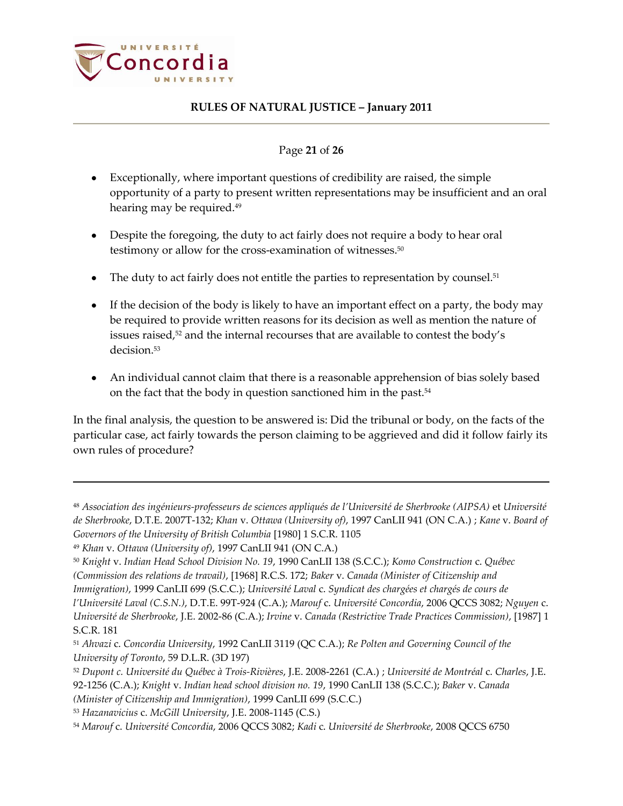

### Page **21** of **26**

- Exceptionally, where important questions of credibility are raised, the simple opportunity of a party to present written representations may be insufficient and an oral hearing may be required. 49
- Despite the foregoing, the duty to act fairly does not require a body to hear oral testimony or allow for the cross-examination of witnesses. 50
- The duty to act fairly does not entitle the parties to representation by counsel. 51
- If the decision of the body is likely to have an important effect on a party, the body may be required to provide written reasons for its decision as well as mention the nature of issues raised, <sup>52</sup> and the internal recourses that are available to contest the body's decision.<sup>53</sup>
- An individual cannot claim that there is a reasonable apprehension of bias solely based on the fact that the body in question sanctioned him in the past.<sup>54</sup>

In the final analysis, the question to be answered is: Did the tribunal or body, on the facts of the particular case, act fairly towards the person claiming to be aggrieved and did it follow fairly its own rules of procedure?

<sup>48</sup> *Association des ingénieurs-professeurs de sciences appliqués de l'Université de Sherbrooke (AIPSA)* et *Université de Sherbrooke*, D.T.E. 2007T-132; *Khan* v. *Ottawa (University of)*, 1997 CanLII 941 (ON C.A.) ; *Kane* v. *Board of Governors of the University of British Columbia* [1980] 1 S.C.R. 1105

<sup>49</sup> *Khan* v. *Ottawa (University of)*, 1997 CanLII 941 (ON C.A.)

<sup>50</sup> *Knight* v. *Indian Head School Division No. 19*, 1990 CanLII 138 (S.C.C.); *Komo Construction* c. *Québec (Commission des relations de travail)*, [1968] R.C.S. 172; *Baker* v. *Canada (Minister of Citizenship and* 

*Immigration)*, 1999 CanLII 699 (S.C.C.); *Université Laval* c. *Syndicat des chargées et chargés de cours de* 

*l'Université Laval (C.S.N.)*, D.T.E. 99T-924 (C.A.); *Marouf* c. *Université Concordia*, 2006 QCCS 3082; *Nguyen* c. *Université de Sherbrooke*, J.E. 2002-86 (C.A.); *Irvine* v. *Canada (Restrictive Trade Practices Commission)*, [1987] 1 S.C.R. 181

<sup>51</sup> *Ahvazi* c. *Concordia University*, 1992 CanLII 3119 (QC C.A.); *Re Polten and Governing Council of the University of Toronto*, 59 D.L.R. (3D 197)

<sup>52</sup> *Dupont c. Université du Québec à Trois-Rivières*, J.E. 2008-2261 (C.A.) ; *Université de Montréal* c. *Charles*, J.E. 92-1256 (C.A.); *Knight* v. *Indian head school division no. 19*, 1990 CanLII 138 (S.C.C.); *Baker* v. *Canada (Minister of Citizenship and Immigration)*, 1999 CanLII 699 (S.C.C.)

<sup>53</sup> *Hazanavicius* c. *McGill University*, J.E. 2008-1145 (C.S.)

<sup>54</sup> *Marouf* c. *Université Concordia*, 2006 QCCS 3082; *Kadi* c. *Université de Sherbrooke*, 2008 QCCS 6750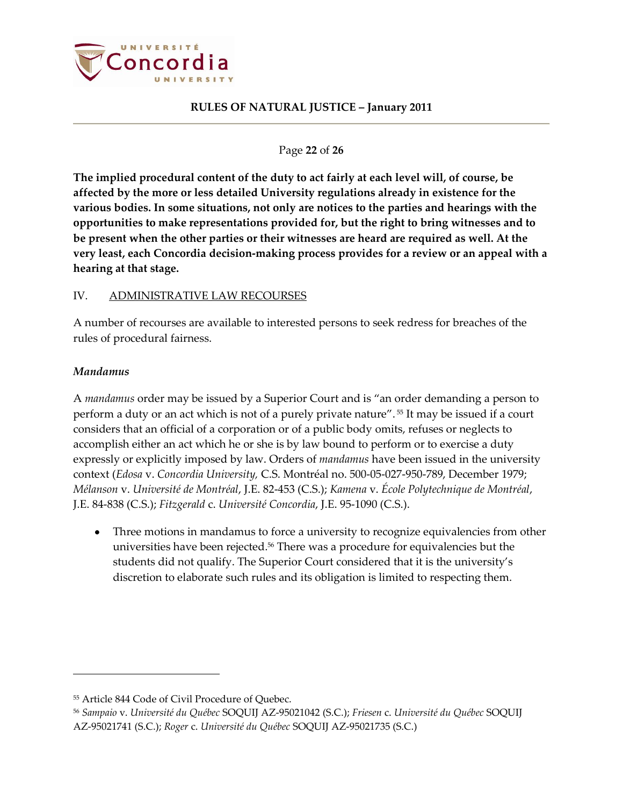

Page **22** of **26**

**The implied procedural content of the duty to act fairly at each level will, of course, be affected by the more or less detailed University regulations already in existence for the various bodies. In some situations, not only are notices to the parties and hearings with the opportunities to make representations provided for, but the right to bring witnesses and to be present when the other parties or their witnesses are heard are required as well. At the very least, each Concordia decision-making process provides for a review or an appeal with a hearing at that stage.**

### <span id="page-21-0"></span>IV. ADMINISTRATIVE LAW RECOURSES

A number of recourses are available to interested persons to seek redress for breaches of the rules of procedural fairness.

#### <span id="page-21-1"></span>*Mandamus*

 $\overline{a}$ 

A *mandamus* order may be issued by a Superior Court and is "an order demanding a person to perform a duty or an act which is not of a purely private nature". <sup>55</sup> It may be issued if a court considers that an official of a corporation or of a public body omits, refuses or neglects to accomplish either an act which he or she is by law bound to perform or to exercise a duty expressly or explicitly imposed by law. Orders of *mandamus* have been issued in the university context (*Edosa* v. *Concordia University,* C.S. Montréal no. 500-05-027-950-789, December 1979; *Mélanson* v. *Université de Montréal*, J.E. 82-453 (C.S.); *Kamena* v. *École Polytechnique de Montréal*, J.E. 84-838 (C.S.); *Fitzgerald* c. *Université Concordia*, J.E. 95-1090 (C.S.).

Three motions in mandamus to force a university to recognize equivalencies from other  $\bullet$ universities have been rejected. <sup>56</sup> There was a procedure for equivalencies but the students did not qualify. The Superior Court considered that it is the university's discretion to elaborate such rules and its obligation is limited to respecting them.

<sup>55</sup> Article 844 Code of Civil Procedure of Quebec.

<sup>56</sup> *Sampaio* v. *Université du Québec* SOQUIJ AZ-95021042 (S.C.); *Friesen* c. *Université du Québec* SOQUIJ AZ-95021741 (S.C.); *Roger* c. *Université du Québec* SOQUIJ AZ-95021735 (S.C.)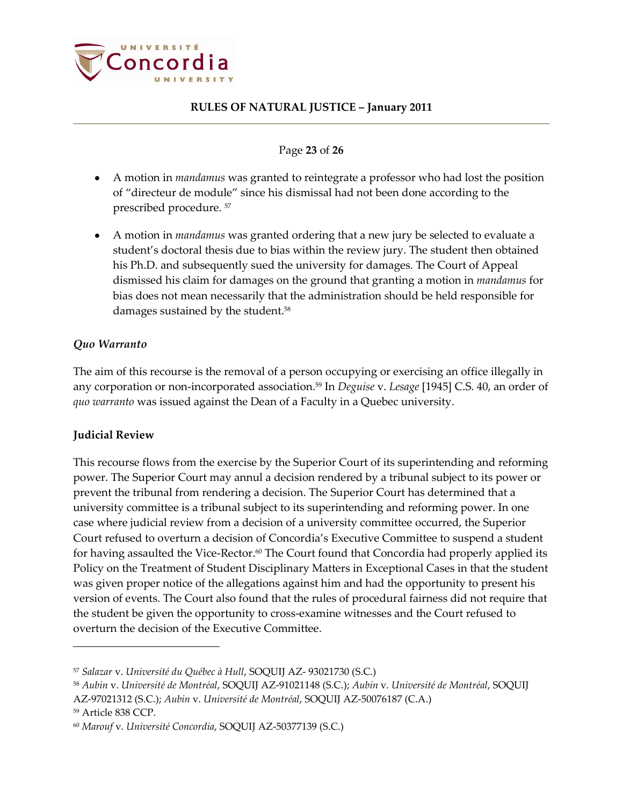

### Page **23** of **26**

- $\bullet$ A motion in *mandamus* was granted to reintegrate a professor who had lost the position of "directeur de module" since his dismissal had not been done according to the prescribed procedure. <sup>57</sup>
- A motion in *mandamus* was granted ordering that a new jury be selected to evaluate a student's doctoral thesis due to bias within the review jury. The student then obtained his Ph.D. and subsequently sued the university for damages. The Court of Appeal dismissed his claim for damages on the ground that granting a motion in *mandamus* for bias does not mean necessarily that the administration should be held responsible for damages sustained by the student. 58

### <span id="page-22-0"></span>*Quo Warranto*

The aim of this recourse is the removal of a person occupying or exercising an office illegally in any corporation or non-incorporated association.<sup>59</sup> In *Deguise* v. *Lesage* [1945] C.S. 40, an order of *quo warranto* was issued against the Dean of a Faculty in a Quebec university.

### <span id="page-22-1"></span>**Judicial Review**

This recourse flows from the exercise by the Superior Court of its superintending and reforming power. The Superior Court may annul a decision rendered by a tribunal subject to its power or prevent the tribunal from rendering a decision. The Superior Court has determined that a university committee is a tribunal subject to its superintending and reforming power. In one case where judicial review from a decision of a university committee occurred, the Superior Court refused to overturn a decision of Concordia's Executive Committee to suspend a student for having assaulted the Vice-Rector.<sup>60</sup> The Court found that Concordia had properly applied its Policy on the Treatment of Student Disciplinary Matters in Exceptional Cases in that the student was given proper notice of the allegations against him and had the opportunity to present his version of events. The Court also found that the rules of procedural fairness did not require that the student be given the opportunity to cross-examine witnesses and the Court refused to overturn the decision of the Executive Committee.

<sup>57</sup> *Salazar* v. *Université du Québec à Hull*, SOQUIJ AZ- 93021730 (S.C.)

<sup>58</sup> *Aubin* v. *Université de Montréal*, SOQUIJ AZ-91021148 (S.C.); *Aubin* v. *Université de Montréal*, SOQUIJ

AZ-97021312 (S.C.); *Aubin* v. *Université de Montréal*, SOQUIJ AZ-50076187 (C.A.)

<sup>59</sup> Article 838 CCP.

<sup>60</sup> *Marouf* v. *Université Concordia*, SOQUIJ AZ-50377139 (S.C.)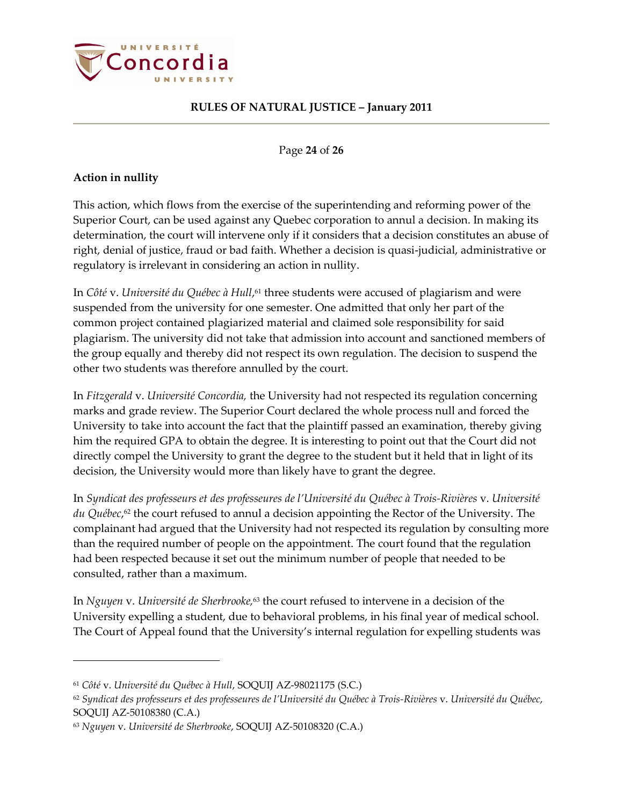

Page **24** of **26**

### <span id="page-23-0"></span>**Action in nullity**

 $\overline{a}$ 

This action, which flows from the exercise of the superintending and reforming power of the Superior Court, can be used against any Quebec corporation to annul a decision. In making its determination, the court will intervene only if it considers that a decision constitutes an abuse of right, denial of justice, fraud or bad faith. Whether a decision is quasi-judicial, administrative or regulatory is irrelevant in considering an action in nullity.

In *Côté* v. *Université du Québec à Hull*, <sup>61</sup> three students were accused of plagiarism and were suspended from the university for one semester. One admitted that only her part of the common project contained plagiarized material and claimed sole responsibility for said plagiarism. The university did not take that admission into account and sanctioned members of the group equally and thereby did not respect its own regulation. The decision to suspend the other two students was therefore annulled by the court.

In *Fitzgerald* v. *Université Concordia,* the University had not respected its regulation concerning marks and grade review. The Superior Court declared the whole process null and forced the University to take into account the fact that the plaintiff passed an examination, thereby giving him the required GPA to obtain the degree. It is interesting to point out that the Court did not directly compel the University to grant the degree to the student but it held that in light of its decision, the University would more than likely have to grant the degree.

In *Syndicat des professeurs et des professeures de l'Université du Québec à Trois-Rivières* v. *Université du Québec*, <sup>62</sup> the court refused to annul a decision appointing the Rector of the University. The complainant had argued that the University had not respected its regulation by consulting more than the required number of people on the appointment. The court found that the regulation had been respected because it set out the minimum number of people that needed to be consulted, rather than a maximum.

In *Nguyen* v. *Université de Sherbrooke,*<sup>63</sup> the court refused to intervene in a decision of the University expelling a student, due to behavioral problems, in his final year of medical school. The Court of Appeal found that the University's internal regulation for expelling students was

<sup>61</sup> *Côté* v. *Université du Québec à Hull*, SOQUIJ AZ-98021175 (S.C.)

<sup>62</sup> *Syndicat des professeurs et des professeures de l'Université du Québec à Trois-Rivières* v. *Université du Québec*, SOQUIJ AZ-50108380 (C.A.)

<sup>63</sup> *Nguyen* v. *Université de Sherbrooke*, SOQUIJ AZ-50108320 (C.A.)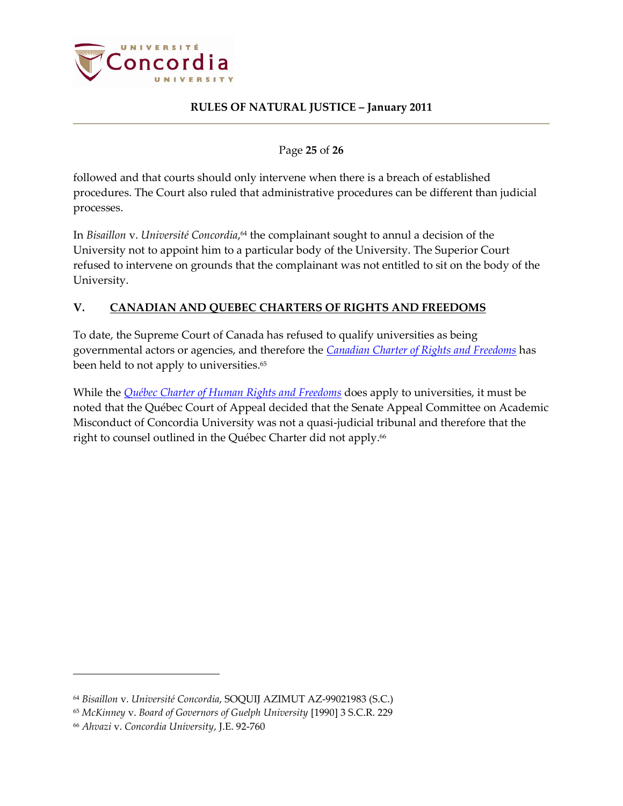

Page **25** of **26**

followed and that courts should only intervene when there is a breach of established procedures. The Court also ruled that administrative procedures can be different than judicial processes.

In *Bisaillon* v. *Université Concordia*, <sup>64</sup> the complainant sought to annul a decision of the University not to appoint him to a particular body of the University. The Superior Court refused to intervene on grounds that the complainant was not entitled to sit on the body of the University.

# <span id="page-24-0"></span>**V. CANADIAN AND QUEBEC CHARTERS OF RIGHTS AND FREEDOMS**

To date, the Supreme Court of Canada has refused to qualify universities as being governmental actors or agencies, and therefore the *[Canadian Charter of Rights and Freedoms](http://laws.justice.gc.ca/en/charter/1.html)* has been held to not apply to universities. 65

While the *[Québec Charter of Human Rights and Freedoms](http://www2.publicationsduquebec.gouv.qc.ca/dynamicSearch/telecharge.php?type=2&file=/C_12/C12_A.html)* does apply to universities, it must be noted that the Québec Court of Appeal decided that the Senate Appeal Committee on Academic Misconduct of Concordia University was not a quasi-judicial tribunal and therefore that the right to counsel outlined in the Québec Charter did not apply. 66

<sup>64</sup> *Bisaillon* v. *Université Concordia*, SOQUIJ AZIMUT AZ-99021983 (S.C.)

<sup>65</sup> *McKinney* v. *Board of Governors of Guelph University* [1990] 3 S.C.R. 229

<sup>66</sup> *Ahvazi* v. *Concordia University*, J.E. 92-760